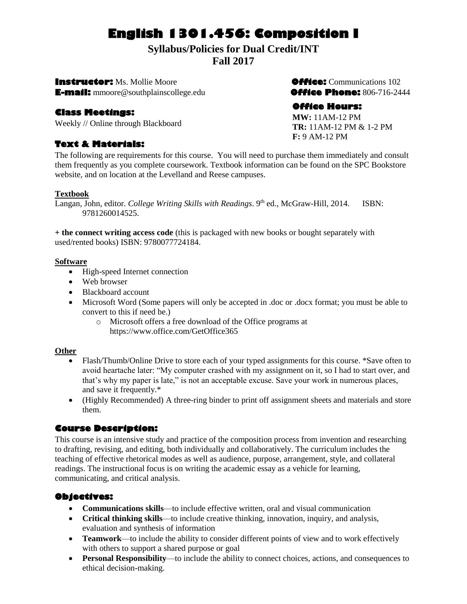# **English 1301.456: Composition I**

## **Syllabus/Policies for Dual Credit/INT**

**Fall 2017**

**Instructor:** Ms. Mollie Moore**Office:** Communications 102 **E-mail:** mmoore@southplainscollege.edu**Office Phone:** 806-716-2444

## **Class Meetings:**

Weekly // Online through Blackboard

## **Text & Materials:**

## **Office Hours:**

**MW:** 11AM-12 PM **TR:** 11AM-12 PM & 1-2 PM **F:** 9 AM-12 PM

The following are requirements for this course. You will need to purchase them immediately and consult them frequently as you complete coursework. Textbook information can be found on the SPC Bookstore website, and on location at the Levelland and Reese campuses.

#### **Textbook**

Langan, John, editor. *College Writing Skills with Readings*. 9<sup>th</sup> ed., McGraw-Hill, 2014. ISBN: 9781260014525.

**+ the connect writing access code** (this is packaged with new books or bought separately with used/rented books) ISBN: 9780077724184.

#### **Software**

- High-speed Internet connection
- Web browser
- Blackboard account
- Microsoft Word (Some papers will only be accepted in .doc or .docx format; you must be able to convert to this if need be.)
	- o Microsoft offers a free download of the Office programs at https://www.office.com/GetOffice365

## **Other**

- Flash/Thumb/Online Drive to store each of your typed assignments for this course. \*Save often to avoid heartache later: "My computer crashed with my assignment on it, so I had to start over, and that's why my paper is late," is not an acceptable excuse. Save your work in numerous places, and save it frequently.\*
- (Highly Recommended) A three-ring binder to print off assignment sheets and materials and store them.

## **Course Description:**

This course is an intensive study and practice of the composition process from invention and researching to drafting, revising, and editing, both individually and collaboratively. The curriculum includes the teaching of effective rhetorical modes as well as audience, purpose, arrangement, style, and collateral readings. The instructional focus is on writing the academic essay as a vehicle for learning, communicating, and critical analysis.

## **Objectives:**

- **Communications skills**—to include effective written, oral and visual communication
- **Critical thinking skills**—to include creative thinking, innovation, inquiry, and analysis, evaluation and synthesis of information
- **Teamwork**—to include the ability to consider different points of view and to work effectively with others to support a shared purpose or goal
- **Personal Responsibility**—to include the ability to connect choices, actions, and consequences to ethical decision-making.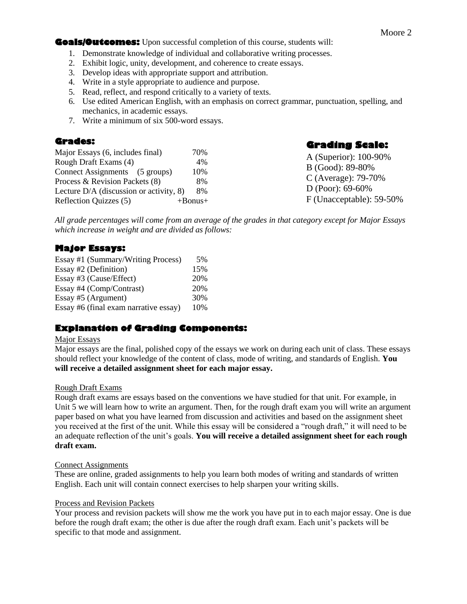#### **Goals/Outcomes:** Upon successful completion of this course, students will:

- 1. Demonstrate knowledge of individual and collaborative writing processes.
- 2. Exhibit logic, unity, development, and coherence to create essays.
- 3. Develop ideas with appropriate support and attribution.
- 4. Write in a style appropriate to audience and purpose.
- 5. Read, reflect, and respond critically to a variety of texts.
- 6. Use edited American English, with an emphasis on correct grammar, punctuation, spelling, and mechanics, in academic essays.
- 7. Write a minimum of six 500-word essays.

#### **Grades:**

| Major Essays (6, includes final)          | 70%           |
|-------------------------------------------|---------------|
| Rough Draft Exams (4)                     | 4%            |
| Connect Assignments (5 groups)            | 10%           |
| Process & Revision Packets (8)            | 8%            |
| Lecture $D/A$ (discussion or activity, 8) | 8%            |
| Reflection Quizzes (5)                    | $+$ Bonus $+$ |

**Grading Scale:**  A (Superior): 100-90%

B (Good): 89-80% C (Average): 79-70% D (Poor): 69-60% F (Unacceptable): 59-50%

*All grade percentages will come from an average of the grades in that category except for Major Essays which increase in weight and are divided as follows:*

## **Major Essays:**

| Essay #1 (Summary/Writing Process)    | 5%  |
|---------------------------------------|-----|
| Essay #2 (Definition)                 | 15% |
| Essay #3 (Cause/Effect)               | 20% |
| Essay #4 (Comp/Contrast)              | 20% |
| Essay #5 (Argument)                   | 30% |
| Essay #6 (final exam narrative essay) | 10% |

## **Explanation of Grading Components:**

#### Major Essays

Major essays are the final, polished copy of the essays we work on during each unit of class. These essays should reflect your knowledge of the content of class, mode of writing, and standards of English. **You will receive a detailed assignment sheet for each major essay.**

#### Rough Draft Exams

Rough draft exams are essays based on the conventions we have studied for that unit. For example, in Unit 5 we will learn how to write an argument. Then, for the rough draft exam you will write an argument paper based on what you have learned from discussion and activities and based on the assignment sheet you received at the first of the unit. While this essay will be considered a "rough draft," it will need to be an adequate reflection of the unit's goals. **You will receive a detailed assignment sheet for each rough draft exam.**

#### Connect Assignments

These are online, graded assignments to help you learn both modes of writing and standards of written English. Each unit will contain connect exercises to help sharpen your writing skills.

#### Process and Revision Packets

Your process and revision packets will show me the work you have put in to each major essay. One is due before the rough draft exam; the other is due after the rough draft exam. Each unit's packets will be specific to that mode and assignment.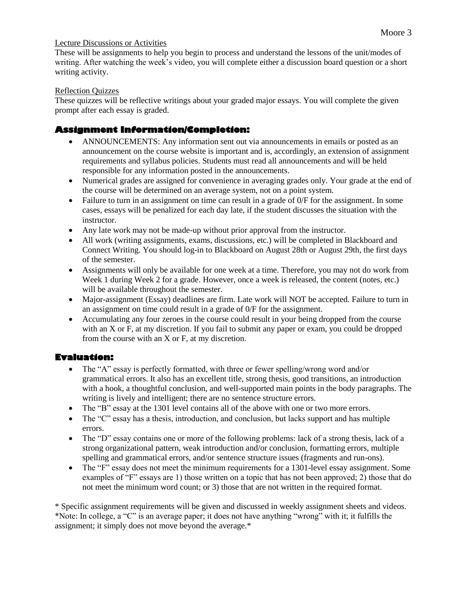#### Lecture Discussions or Activities

These will be assignments to help you begin to process and understand the lessons of the unit/modes of writing. After watching the week's video, you will complete either a discussion board question or a short writing activity.

#### Reflection Quizzes

These quizzes will be reflective writings about your graded major essays. You will complete the given prompt after each essay is graded. 

## **Assignment Information/Completion:**

- ANNOUNCEMENTS: Any information sent out via announcements in emails or posted as an announcement on the course website is important and is, accordingly, an extension of assignment requirements and syllabus policies. Students must read all announcements and will be held responsible for any information posted in the announcements.
- Numerical grades are assigned for convenience in averaging grades only. Your grade at the end of the course will be determined on an average system, not on a point system.
- Failure to turn in an assignment on time can result in a grade of 0/F for the assignment. In some cases, essays will be penalized for each day late, if the student discusses the situation with the instructor.
- Any late work may not be made-up without prior approval from the instructor.
- All work (writing assignments, exams, discussions, etc.) will be completed in Blackboard and Connect Writing. You should log-in to Blackboard on August 28th or August 29th, the first days of the semester.
- Assignments will only be available for one week at a time. Therefore, you may not do work from Week 1 during Week 2 for a grade. However, once a week is released, the content (notes, etc.) will be available throughout the semester.
- Major-assignment (Essay) deadlines are firm. Late work will NOT be accepted. Failure to turn in an assignment on time could result in a grade of 0/F for the assignment.
- Accumulating any four zeroes in the course could result in your being dropped from the course with an X or F, at my discretion. If you fail to submit any paper or exam, you could be dropped from the course with an X or F, at my discretion.

## **Evaluation:**

- The "A" essay is perfectly formatted, with three or fewer spelling/wrong word and/or grammatical errors. It also has an excellent title, strong thesis, good transitions, an introduction with a hook, a thoughtful conclusion, and well-supported main points in the body paragraphs. The writing is lively and intelligent; there are no sentence structure errors.
- The "B" essay at the 1301 level contains all of the above with one or two more errors.
- The "C" essay has a thesis, introduction, and conclusion, but lacks support and has multiple errors.
- The "D" essay contains one or more of the following problems: lack of a strong thesis, lack of a strong organizational pattern, weak introduction and/or conclusion, formatting errors, multiple spelling and grammatical errors, and/or sentence structure issues (fragments and run-ons).
- The "F" essay does not meet the minimum requirements for a 1301-level essay assignment. Some examples of "F" essays are 1) those written on a topic that has not been approved; 2) those that do not meet the minimum word count; or 3) those that are not written in the required format.

\* Specific assignment requirements will be given and discussed in weekly assignment sheets and videos. \*Note: In college, a "C" is an average paper; it does not have anything "wrong" with it; it fulfills the assignment; it simply does not move beyond the average.\*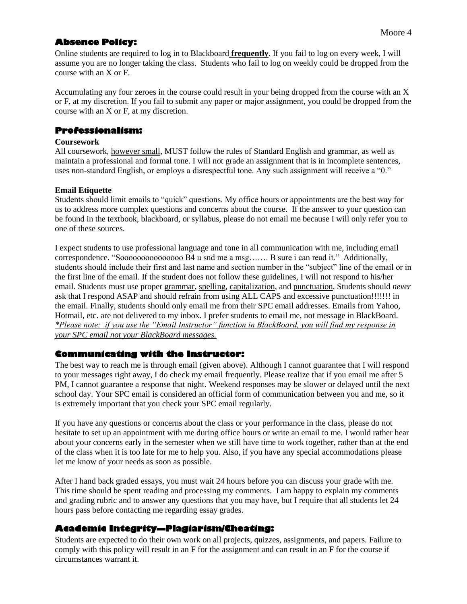## **Absence Policy:**

Online students are required to log in to Blackboard **frequently**. If you fail to log on every week, I will assume you are no longer taking the class. Students who fail to log on weekly could be dropped from the course with an X or F.

Accumulating any four zeroes in the course could result in your being dropped from the course with an X or F, at my discretion. If you fail to submit any paper or major assignment, you could be dropped from the course with an X or F, at my discretion.

#### **Professionalism:**

#### **Coursework**

All coursework, however small, MUST follow the rules of Standard English and grammar, as well as maintain a professional and formal tone. I will not grade an assignment that is in incomplete sentences, uses non-standard English, or employs a disrespectful tone. Any such assignment will receive a "0."

#### **Email Etiquette**

Students should limit emails to "quick" questions. My office hours or appointments are the best way for us to address more complex questions and concerns about the course. If the answer to your question can be found in the textbook, blackboard, or syllabus, please do not email me because I will only refer you to one of these sources.

I expect students to use professional language and tone in all communication with me, including email correspondence. "Sooooooooooooooo B4 u snd me a msg……. B sure i can read it." Additionally, students should include their first and last name and section number in the "subject" line of the email or in the first line of the email. If the student does not follow these guidelines, I will not respond to his/her email. Students must use proper grammar, spelling, capitalization, and punctuation. Students should *never* ask that I respond ASAP and should refrain from using ALL CAPS and excessive punctuation!!!!!!! in the email. Finally, students should only email me from their SPC email addresses. Emails from Yahoo, Hotmail, etc. are not delivered to my inbox. I prefer students to email me, not message in BlackBoard. *\*Please note: if you use the "Email Instructor" function in BlackBoard, you will find my response in your SPC email not your BlackBoard messages.*

## **Communicating with the Instructor:**

The best way to reach me is through email (given above). Although I cannot guarantee that I will respond to your messages right away, I do check my email frequently. Please realize that if you email me after 5 PM, I cannot guarantee a response that night. Weekend responses may be slower or delayed until the next school day. Your SPC email is considered an official form of communication between you and me, so it is extremely important that you check your SPC email regularly.

If you have any questions or concerns about the class or your performance in the class, please do not hesitate to set up an appointment with me during office hours or write an email to me. I would rather hear about your concerns early in the semester when we still have time to work together, rather than at the end of the class when it is too late for me to help you. Also, if you have any special accommodations please let me know of your needs as soon as possible.

After I hand back graded essays, you must wait 24 hours before you can discuss your grade with me. This time should be spent reading and processing my comments. I am happy to explain my comments and grading rubric and to answer any questions that you may have, but I require that all students let 24 hours pass before contacting me regarding essay grades.

## **Academic Integrity—Plagiarism/Cheating:**

Students are expected to do their own work on all projects, quizzes, assignments, and papers. Failure to comply with this policy will result in an F for the assignment and can result in an F for the course if circumstances warrant it.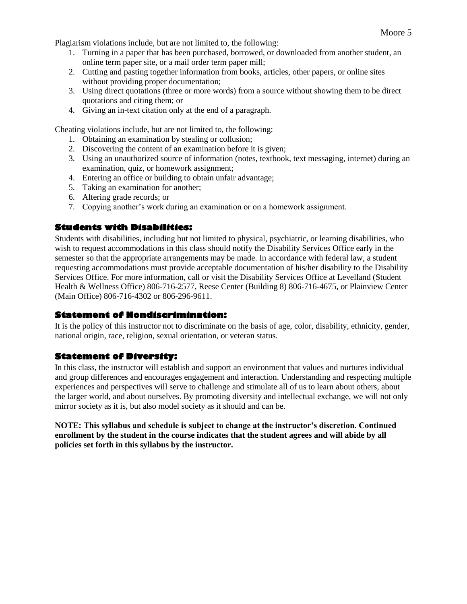Plagiarism violations include, but are not limited to, the following:

- 1. Turning in a paper that has been purchased, borrowed, or downloaded from another student, an online term paper site, or a mail order term paper mill;
- 2. Cutting and pasting together information from books, articles, other papers, or online sites without providing proper documentation;
- 3. Using direct quotations (three or more words) from a source without showing them to be direct quotations and citing them; or
- 4. Giving an in-text citation only at the end of a paragraph.

Cheating violations include, but are not limited to, the following:

- 1. Obtaining an examination by stealing or collusion;
- 2. Discovering the content of an examination before it is given;
- 3. Using an unauthorized source of information (notes, textbook, text messaging, internet) during an examination, quiz, or homework assignment;
- 4. Entering an office or building to obtain unfair advantage;
- 5. Taking an examination for another;
- 6. Altering grade records; or
- 7. Copying another's work during an examination or on a homework assignment.

#### **Students with Disabilities:**

Students with disabilities, including but not limited to physical, psychiatric, or learning disabilities, who wish to request accommodations in this class should notify the Disability Services Office early in the semester so that the appropriate arrangements may be made. In accordance with federal law, a student requesting accommodations must provide acceptable documentation of his/her disability to the Disability Services Office. For more information, call or visit the Disability Services Office at Levelland (Student Health & Wellness Office) 806-716-2577, Reese Center (Building 8) 806-716-4675, or Plainview Center (Main Office) 806-716-4302 or 806-296-9611.

#### **Statement of Nondiscrimination:**

It is the policy of this instructor not to discriminate on the basis of age, color, disability, ethnicity, gender, national origin, race, religion, sexual orientation, or veteran status.

#### **Statement of Diversity:**

In this class, the instructor will establish and support an environment that values and nurtures individual and group differences and encourages engagement and interaction. Understanding and respecting multiple experiences and perspectives will serve to challenge and stimulate all of us to learn about others, about the larger world, and about ourselves. By promoting diversity and intellectual exchange, we will not only mirror society as it is, but also model society as it should and can be.

**NOTE: This syllabus and schedule is subject to change at the instructor's discretion. Continued enrollment by the student in the course indicates that the student agrees and will abide by all policies set forth in this syllabus by the instructor.**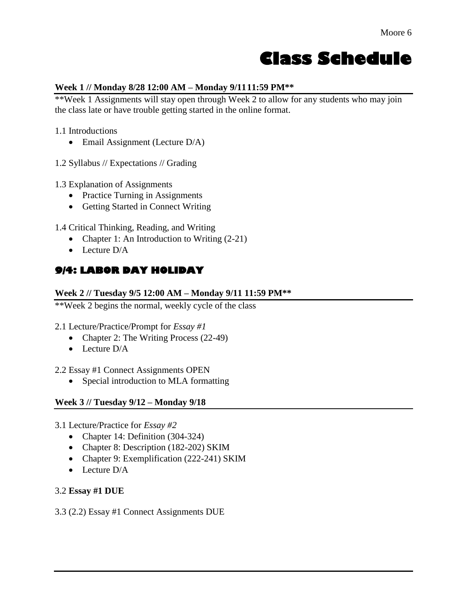# **Class Schedule**

## **Week 1 // Monday 8/28 12:00 AM – Monday 9/1111:59 PM\*\***

\*\*Week 1 Assignments will stay open through Week 2 to allow for any students who may join the class late or have trouble getting started in the online format.

1.1 Introductions

• Email Assignment (Lecture D/A)

1.2 Syllabus // Expectations // Grading

- 1.3 Explanation of Assignments
	- Practice Turning in Assignments
	- Getting Started in Connect Writing

1.4 Critical Thinking, Reading, and Writing

- Chapter 1: An Introduction to Writing (2-21)
- $\bullet$  Lecture D/A

## **9/4: LABOR DAY HOLIDAY**

#### **Week 2 // Tuesday 9/5 12:00 AM – Monday 9/11 11:59 PM\*\***

\*\*Week 2 begins the normal, weekly cycle of the class

## 2.1 Lecture/Practice/Prompt for *Essay #1*

- Chapter 2: The Writing Process (22-49)
- Lecture D/A

## 2.2 Essay #1 Connect Assignments OPEN

• Special introduction to MLA formatting

## **Week 3 // Tuesday 9/12 – Monday 9/18**

- 3.1 Lecture/Practice for *Essay #2*
	- Chapter 14: Definition (304-324)
	- Chapter 8: Description (182-202) SKIM
	- Chapter 9: Exemplification (222-241) SKIM
	- Lecture D/A

## 3.2 **Essay #1 DUE**

## 3.3 (2.2) Essay #1 Connect Assignments DUE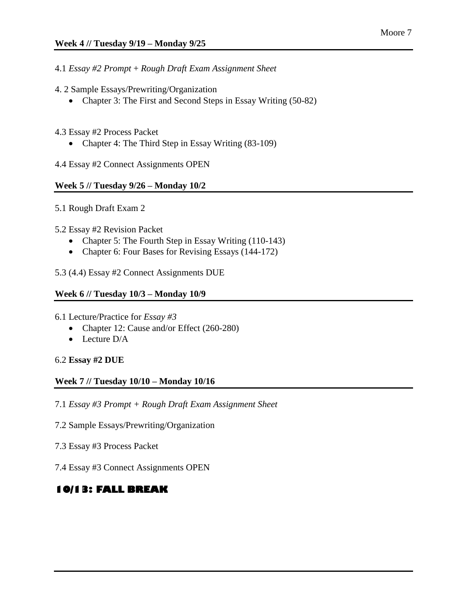- 4.1 *Essay #2 Prompt* + *Rough Draft Exam Assignment Sheet*
- 4. 2 Sample Essays/Prewriting/Organization
	- Chapter 3: The First and Second Steps in Essay Writing (50-82)
- 4.3 Essay #2 Process Packet
	- Chapter 4: The Third Step in Essay Writing (83-109)

4.4 Essay #2 Connect Assignments OPEN

#### **Week 5 // Tuesday 9/26 – Monday 10/2**

- 5.1 Rough Draft Exam 2
- 5.2 Essay #2 Revision Packet
	- Chapter 5: The Fourth Step in Essay Writing (110-143)
	- Chapter 6: Four Bases for Revising Essays (144-172)
- 5.3 (4.4) Essay #2 Connect Assignments DUE

#### **Week 6 // Tuesday 10/3 – Monday 10/9**

- 6.1 Lecture/Practice for *Essay #3*
	- Chapter 12: Cause and/or Effect (260-280)
	- Lecture D/A

#### 6.2 **Essay #2 DUE**

#### **Week 7 // Tuesday 10/10 – Monday 10/16**

7.1 *Essay #3 Prompt + Rough Draft Exam Assignment Sheet*

- 7.2 Sample Essays/Prewriting/Organization
- 7.3 Essay #3 Process Packet
- 7.4 Essay #3 Connect Assignments OPEN

## **10/13: FALL BREAK**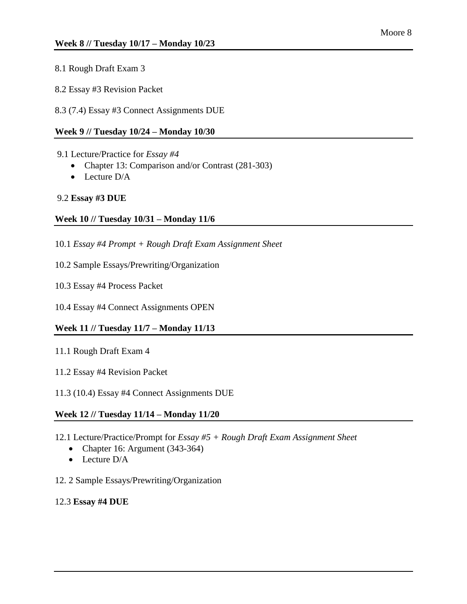- 8.1 Rough Draft Exam 3
- 8.2 Essay #3 Revision Packet
- 8.3 (7.4) Essay #3 Connect Assignments DUE

#### **Week 9 // Tuesday 10/24 – Monday 10/30**

- 9.1 Lecture/Practice for *Essay #4*
	- Chapter 13: Comparison and/or Contrast (281-303)
	- Lecture D/A

#### 9.2 **Essay #3 DUE**

#### **Week 10 // Tuesday 10/31 – Monday 11/6**

- 10.1 *Essay #4 Prompt + Rough Draft Exam Assignment Sheet*
- 10.2 Sample Essays/Prewriting/Organization
- 10.3 Essay #4 Process Packet
- 10.4 Essay #4 Connect Assignments OPEN

#### **Week 11 // Tuesday 11/7 – Monday 11/13**

- 11.1 Rough Draft Exam 4
- 11.2 Essay #4 Revision Packet
- 11.3 (10.4) Essay #4 Connect Assignments DUE

#### **Week 12 // Tuesday 11/14 – Monday 11/20**

- 12.1 Lecture/Practice/Prompt for *Essay #5 + Rough Draft Exam Assignment Sheet*
	- Chapter 16: Argument (343-364)
	- $\bullet$  Lecture D/A
- 12. 2 Sample Essays/Prewriting/Organization
- 12.3 **Essay #4 DUE**